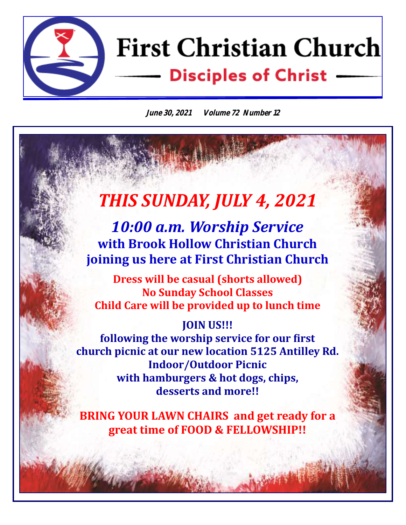# **First Christian Church Disciples of Christ www.fccabilenetx.com**

**June 30, 2021 Volume 72 Number 12**

# *THIS SUNDAY, JULY 4, 2021*

*10:00 a.m. Worship Service*  **with Brook Hollow Christian Church joining us here at First Christian Church**

**Dress will be casual (shorts allowed) No Sunday School Classes Child Care will be provided up to lunch time**

#### **JOIN US!!!**

**following the worship service for our first church picnic at our new location 5125 Antilley Rd. Indoor/Outdoor Picnic with hamburgers & hot dogs, chips, desserts and more!!** 

**BRING YOUR LAWN CHAIRS and get ready for a great time of FOOD & FELLOWSHIP!!**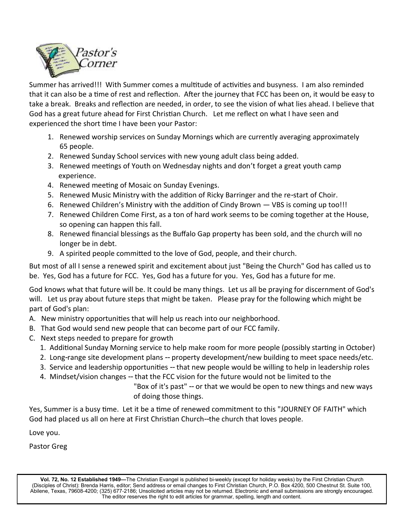

Summer has arrived!!! With Summer comes a multitude of activities and busyness. I am also reminded that it can also be a time of rest and reflection. After the journey that FCC has been on, it would be easy to take a break. Breaks and reflection are needed, in order, to see the vision of what lies ahead. I believe that God has a great future ahead for First Christian Church. Let me reflect on what I have seen and experienced the short time I have been your Pastor:

- 1. Renewed worship services on Sunday Mornings which are currently averaging approximately 65 people.
- 2. Renewed Sunday School services with new young adult class being added.
- 3. Renewed meetings of Youth on Wednesday nights and don't forget a great youth camp experience.
- 4. Renewed meeting of Mosaic on Sunday Evenings.
- 5. Renewed Music Ministry with the addition of Ricky Barringer and the re-start of Choir.
- 6. Renewed Children's Ministry with the addition of Cindy Brown VBS is coming up too!!!
- 7. Renewed Children Come First, as a ton of hard work seems to be coming together at the House, so opening can happen this fall.
- 8. Renewed financial blessings as the Buffalo Gap property has been sold, and the church will no longer be in debt.
- 9. A spirited people committed to the love of God, people, and their church.

But most of all I sense a renewed spirit and excitement about just "Being the Church" God has called us to be. Yes, God has a future for FCC. Yes, God has a future for you. Yes, God has a future for me.

God knows what that future will be. It could be many things. Let us all be praying for discernment of God's will. Let us pray about future steps that might be taken. Please pray for the following which might be part of God's plan:

- A. New ministry opportunities that will help us reach into our neighborhood.
- B. That God would send new people that can become part of our FCC family.
- C. Next steps needed to prepare for growth
	- 1. Additional Sunday Morning service to help make room for more people (possibly starting in October)
	- 2. Long-range site development plans -- property development/new building to meet space needs/etc.
	- 3. Service and leadership opportunities -- that new people would be willing to help in leadership roles
	- 4. Mindset/vision changes -- that the FCC vision for the future would not be limited to the

 "Box of it's past" -- or that we would be open to new things and new ways of doing those things.

Yes, Summer is a busy time. Let it be a time of renewed commitment to this "JOURNEY OF FAITH" which God had placed us all on here at First Christian Church--the church that loves people.

Love you.

Pastor Greg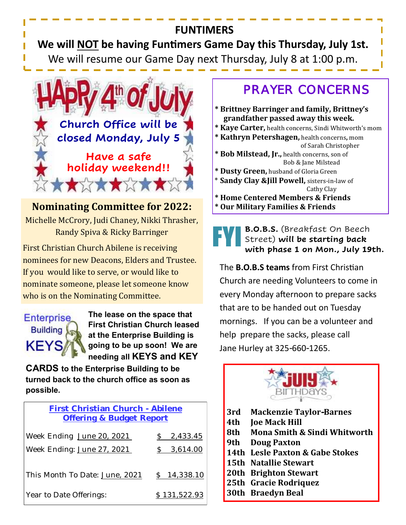### **FUNTIMERS**

**We will NOT be having Funtimers Game Day this Thursday, July 1st.** We will resume our Game Day next Thursday, July 8 at 1:00 p.m.



**Nominating Committee for 2022:** Michelle McCrory, Judi Chaney, Nikki Thrasher, Randy Spiva & Ricky Barringer

First Christian Church Abilene is receiving nominees for new Deacons, Elders and Trustee. If you would like to serve, or would like to nominate someone, please let someone know who is on the Nominating Committee.

# **Enterprise Building** KFYS

**The lease on the space that First Christian Church leased at the Enterprise Building is going to be up soon! We are needing all KEYS and KEY** 

**CARDS to the Enterprise Building to be turned back to the church office as soon as possible.**

| First Christian Church - Abilene<br>Offering & Budget Report |              |              |
|--------------------------------------------------------------|--------------|--------------|
| Week Ending June 20, 2021                                    |              | 2,433.45     |
| Week Ending: June 27, 2021                                   | $\mathbb{S}$ | 3,614.00     |
| This Month To Date: June, 2021                               |              | \$14,338.10  |
| Year to Date Offerings:                                      |              | \$131,522.93 |

# *PRAYER CONCERNS*

- **\* Brittney Barringer and family, Brittney's grandfather passed away this week.**
- **\* Kaye Carter,** health concerns, Sindi Whitworth's mom
- **\* Kathryn Petershagen,** health concerns**,** mom of Sarah Christopher
- **\* Bob Milstead, Jr.,** health concerns, son of Bob & Jane Milstead
- **\* Dusty Green,** husband of Gloria Green
- \* **Sandy Clay &Jill Powell,** sisters-in-law of Cathy Clay
- **\* Home Centered Members & Friends \* Our Military Families & Friends**

FYI **B.O.B.S.** (Breakfast On Beech Street) **will be starting back with phase 1 on Mon., July 19th.**

The **B.O.B.S teams** from First Christian Church are needing Volunteers to come in every Monday afternoon to prepare sacks that are to be handed out on Tuesday mornings. If you can be a volunteer and help prepare the sacks, please call Jane Hurley at 325-660-1265.



- **8th Mona Smith & Sindi Whitworth**
- **9th Doug Paxton**
- **14th Lesle Paxton & Gabe Stokes**
- **15th Natallie Stewart**
- **20th Brighton Stewart**
- **25th Gracie Rodriquez**
- **30th Braedyn Beal**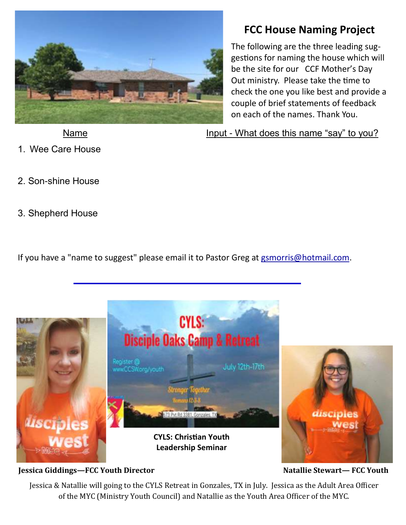

## **FCC House Naming Project**

The following are the three leading suggestions for naming the house which will be the site for our CCF Mother's Day Out ministry. Please take the time to check the one you like best and provide a couple of brief statements of feedback on each of the names. Thank You.

Name Input - What does this name "say" to you?

- 1. Wee Care House
- 2. Son-shine House
- 3. Shepherd House

If you have a "name to suggest" please email it to Pastor Greg at gsmorris@hotmail.com.



**Jessica Giddings—FCC Youth Director Natallie Stewart— FCC Youth**

Jessica & Natallie will going to the CYLS Retreat in Gonzales, TX in July. Jessica as the Adult Area Officer of the MYC (Ministry Youth Council) and Natallie as the Youth Area Officer of the MYC.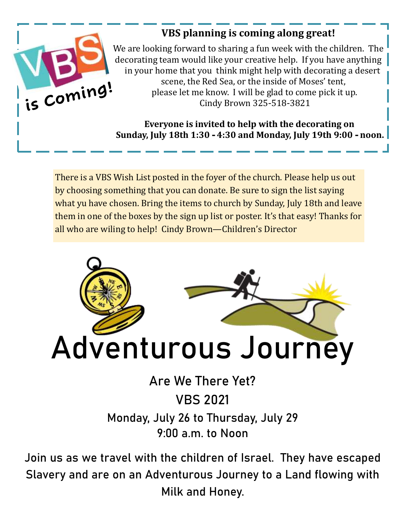

**VBS planning is coming along great!** 

We are looking forward to sharing a fun week with the children. The decorating team would like your creative help. If you have anything in your home that you think might help with decorating a desert scene, the Red Sea, or the inside of Moses' tent, please let me know. I will be glad to come pick it up. Cindy Brown 325-518-3821

#### **Everyone is invited to help with the decorating on Sunday, July 18th 1:30 - 4:30 and Monday, July 19th 9:00 - noon.**

There is a VBS Wish List posted in the foyer of the church. Please help us out by choosing something that you can donate. Be sure to sign the list saying what yu have chosen. Bring the items to church by Sunday, July 18th and leave them in one of the boxes by the sign up list or poster. It's that easy! Thanks for all who are wiling to help! Cindy Brown—Children's Director



**Are We There Yet? VBS 2021**

**Monday, July 26 to Thursday, July 29 9:00 a.m. to Noon**

**Join us as we travel with the children of Israel. They have escaped Slavery and are on an Adventurous Journey to a Land flowing with Milk and Honey.**